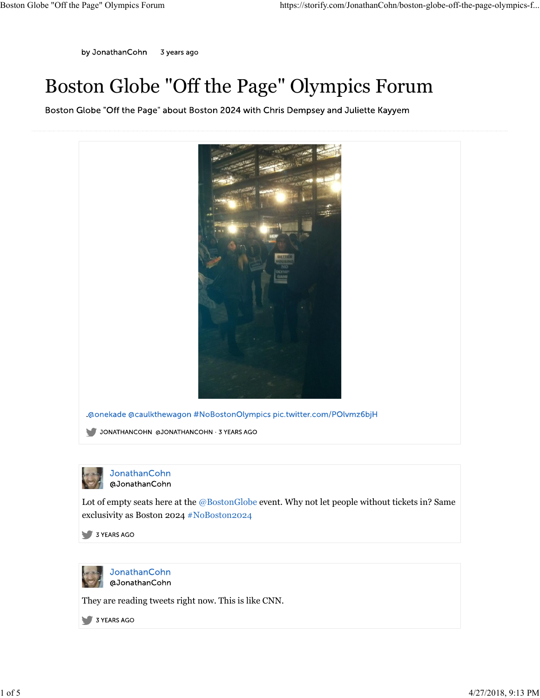## Boston Globe "Off the Page" Olympics Forum

Boston Globe "Off the Page" about Boston 2024 with Chris Dempsey and Juliette Kayyem





Lot of empty seats here at the @BostonGlobe event. Why not let people without tickets in? Same exclusivity as Boston 2024 #NoBoston2024 1 of empty seats here at the @BostonGlobe event. Why not let people without tickets in? Same<br>
1 of 6 empty seats here at the @BostonGlobe event. Why not let people without tickets in? Same<br>
exclusivity as Boston 2024 ≢No



They are reading tweets right now. This is like CNN.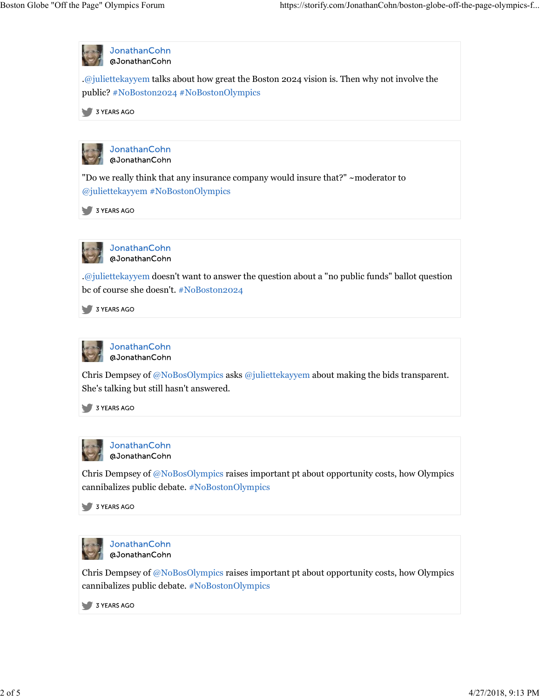

Chris Dempsey of @NoBosOlympics raises important pt about opportunity costs, how Olympics cannibalizes public debate. #NoBostonOlympics



Chris Dempsey of @NoBosOlympics raises important pt about opportunity costs, how Olympics cannibalizes public debate. #NoBostonOlympics 2 of 5 4/27/2018, 9:13 PM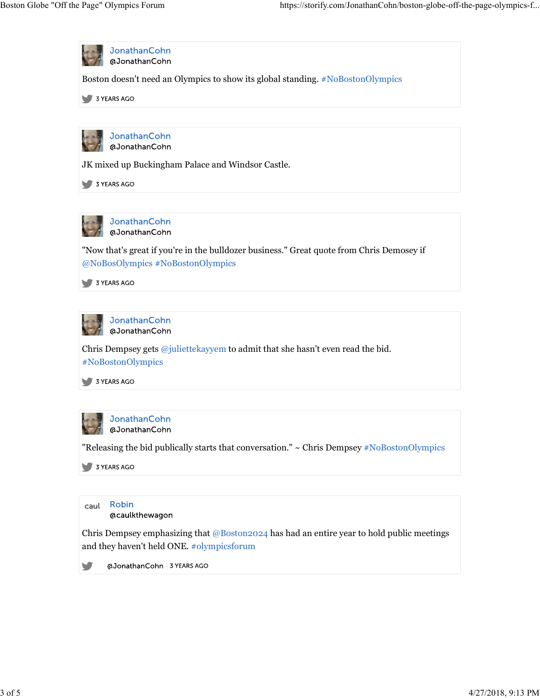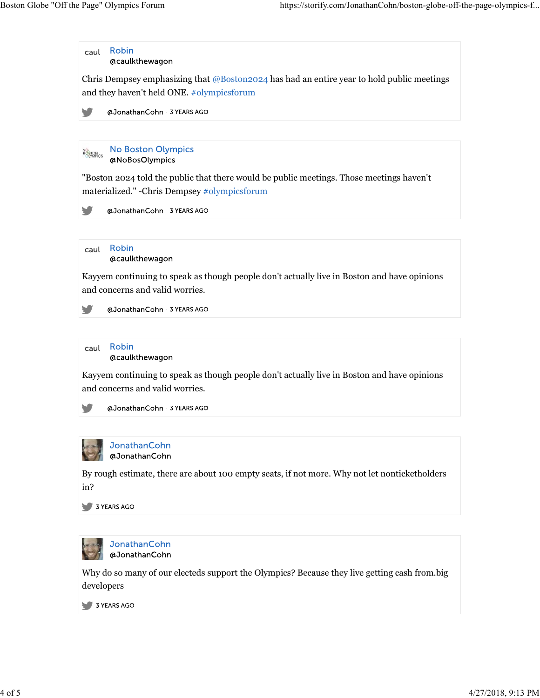Chris Dempsey emphasizing that  $@$ Boston2024 has had an entire year to hold public meetings and they haven't held ONE. #olympicsforum

@JonathanCohn 3 YEARS AGO

**No Boston Olympics BOSTON**CS @NoBosOlympics

"Boston 2024 told the public that there would be public meetings. Those meetings haven't materialized." -Chris Dempsey #olympicsforum

y @JonathanCohn 3 YEARS AGO

Robin caul @caulkthewagon

Kayyem continuing to speak as though people don't actually live in Boston and have opinions and concerns and valid worries.

@JonathanCohn 3 YEARS AGO



Kayyem continuing to speak as though people don't actually live in Boston and have opinions and concerns and valid worries.

@JonathanCohn 3 YEARS AGO 



JonathanCohn @JonathanCohn

By rough estimate, there are about 100 empty seats, if not more. Why not let nonticketholders in?



Why do so many of our electeds support the Olympics? Because they live getting cash from.big developers By rough estimate, there are about 100 empty seats, if not more. Why not let nonticketholders<br>
in?<br>  $\bullet$  3 vreas 400<br>  $\bullet$  3 vreas 400<br>  $\bullet$  a JonathanCohn<br>
Wy do so many of our electeds support the Olympics? Because they